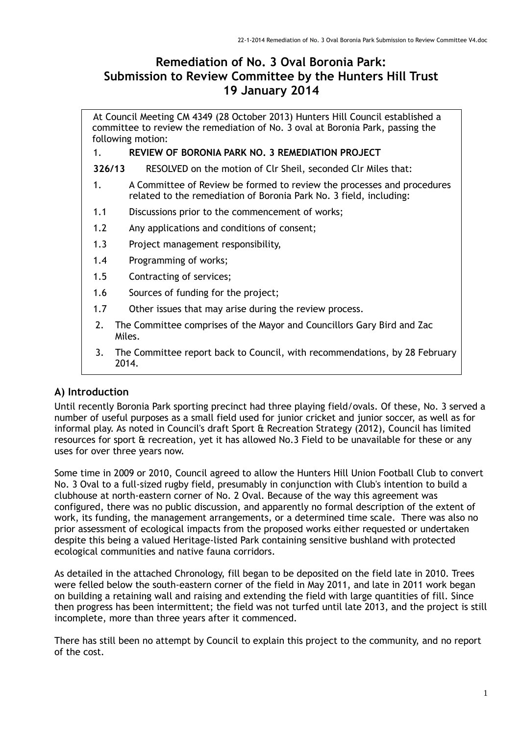# **Remediation of No. 3 Oval Boronia Park: Submission to Review Committee by the Hunters Hill Trust 19 January 2014**

At Council Meeting CM 4349 (28 October 2013) Hunters Hill Council established a committee to review the remediation of No. 3 oval at Boronia Park, passing the following motion:

#### 1. **REVIEW OF BORONIA PARK NO. 3 REMEDIATION PROJECT**

**326/13** RESOLVED on the motion of Clr Sheil, seconded Clr Miles that:

- 1. A Committee of Review be formed to review the processes and procedures related to the remediation of Boronia Park No. 3 field, including:
- 1.1 Discussions prior to the commencement of works;
- 1.2 Any applications and conditions of consent;
- 1.3 Project management responsibility,
- 1.4 Programming of works;
- 1.5 Contracting of services;
- 1.6 Sources of funding for the project;
- 1.7 Other issues that may arise during the review process.
- 2. The Committee comprises of the Mayor and Councillors Gary Bird and Zac Miles.
- 3. The Committee report back to Council, with recommendations, by 28 February 2014.

## **A) Introduction**

Until recently Boronia Park sporting precinct had three playing field/ovals. Of these, No. 3 served a number of useful purposes as a small field used for junior cricket and junior soccer, as well as for informal play. As noted in Council's draft Sport & Recreation Strategy (2012), Council has limited resources for sport & recreation, yet it has allowed No.3 Field to be unavailable for these or any uses for over three years now.

Some time in 2009 or 2010, Council agreed to allow the Hunters Hill Union Football Club to convert No. 3 Oval to a full-sized rugby field, presumably in conjunction with Club's intention to build a clubhouse at north-eastern corner of No. 2 Oval. Because of the way this agreement was configured, there was no public discussion, and apparently no formal description of the extent of work, its funding, the management arrangements, or a determined time scale. There was also no prior assessment of ecological impacts from the proposed works either requested or undertaken despite this being a valued Heritage-listed Park containing sensitive bushland with protected ecological communities and native fauna corridors.

As detailed in the attached Chronology, fill began to be deposited on the field late in 2010. Trees were felled below the south-eastern corner of the field in May 2011, and late in 2011 work began on building a retaining wall and raising and extending the field with large quantities of fill. Since then progress has been intermittent; the field was not turfed until late 2013, and the project is still incomplete, more than three years after it commenced.

There has still been no attempt by Council to explain this project to the community, and no report of the cost.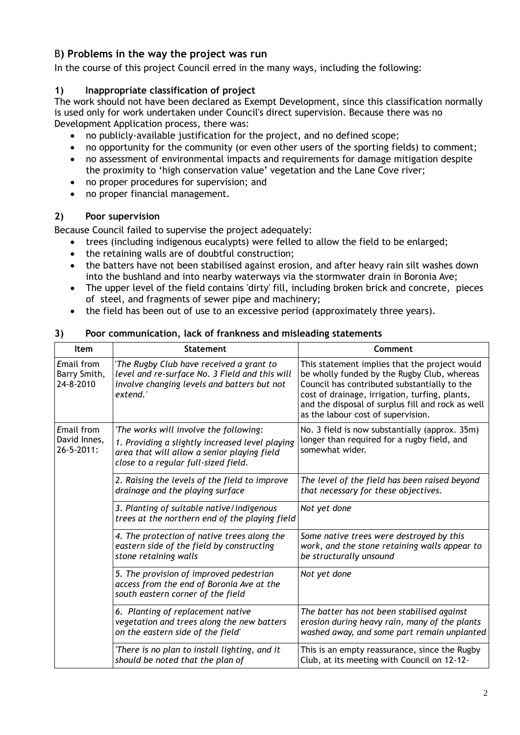# B**) Problems in the way the project was run**

In the course of this project Council erred in the many ways, including the following:

## **1) Inappropriate classification of project**

The work should not have been declared as Exempt Development, since this classification normally is used only for work undertaken under Council's direct supervision. Because there was no Development Application process, there was:

- no publicly-available justification for the project, and no defined scope;
- no opportunity for the community (or even other users of the sporting fields) to comment;
- no assessment of environmental impacts and requirements for damage mitigation despite the proximity to 'high conservation value' vegetation and the Lane Cove river;
- no proper procedures for supervision; and
- no proper financial management.

### **2) Poor supervision**

Because Council failed to supervise the project adequately:

- trees (including indigenous eucalypts) were felled to allow the field to be enlarged;
- the retaining walls are of doubtful construction;
- the batters have not been stabilised against erosion, and after heavy rain silt washes down into the bushland and into nearby waterways via the stormwater drain in Boronia Ave;
- The upper level of the field contains 'dirty' fill, including broken brick and concrete, pieces of steel, and fragments of sewer pipe and machinery;
- the field has been out of use to an excessive period (approximately three years).

| <b>Item</b>                                     | <b>Statement</b>                                                                                                                                                                 | Comment                                                                                                                                                                                                                                                                                   |
|-------------------------------------------------|----------------------------------------------------------------------------------------------------------------------------------------------------------------------------------|-------------------------------------------------------------------------------------------------------------------------------------------------------------------------------------------------------------------------------------------------------------------------------------------|
| Email from<br>Barry Smith,<br>24-8-2010         | 'The Rugby Club have received a grant to<br>level and re-surface No. 3 Field and this will<br>involve changing levels and batters but not<br>extend.'                            | This statement implies that the project would<br>be wholly funded by the Rugby Club, whereas<br>Council has contributed substantially to the<br>cost of drainage, irrigation, turfing, plants,<br>and the disposal of surplus fill and rock as well<br>as the labour cost of supervision. |
| Email from<br>David Innes,<br>$26 - 5 - 2011$ : | 'The works will involve the following:<br>1. Providing a slightly increased level playing<br>area that will allow a senior playing field<br>close to a regular full-sized field. | No. 3 field is now substantially (approx. 35m)<br>longer than required for a rugby field, and<br>somewhat wider.                                                                                                                                                                          |
|                                                 | 2. Raising the levels of the field to improve<br>drainage and the playing surface                                                                                                | The level of the field has been raised beyond<br>that necessary for these objectives.                                                                                                                                                                                                     |
|                                                 | 3. Planting of suitable native/indigenous<br>trees at the northern end of the playing field                                                                                      | Not yet done                                                                                                                                                                                                                                                                              |
|                                                 | 4. The protection of native trees along the<br>eastern side of the field by constructing<br>stone retaining walls                                                                | Some native trees were destroyed by this<br>work, and the stone retaining walls appear to<br>be structurally unsound                                                                                                                                                                      |
|                                                 | 5. The provision of improved pedestrian<br>access from the end of Boronia Ave at the<br>south eastern corner of the field                                                        | Not yet done                                                                                                                                                                                                                                                                              |
|                                                 | 6. Planting of replacement native<br>vegetation and trees along the new batters<br>on the eastern side of the field'                                                             | The batter has not been stabilised against<br>erosion during heavy rain, many of the plants<br>washed away, and some part remain unplanted                                                                                                                                                |
|                                                 | 'There is no plan to install lighting, and it<br>should be noted that the plan of                                                                                                | This is an empty reassurance, since the Rugby<br>Club, at its meeting with Council on 12-12-                                                                                                                                                                                              |

#### **3) Poor communication, lack of frankness and misleading statements**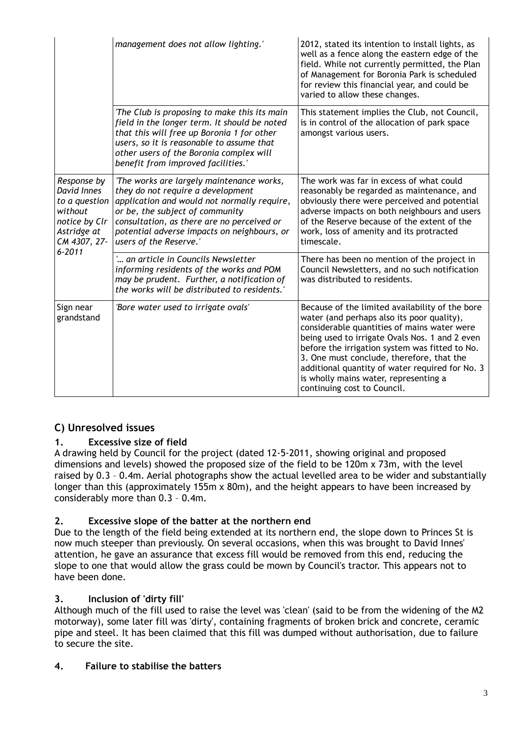|                                                                                                        | management does not allow lighting.'                                                                                                                                                                                                                                                    | 2012, stated its intention to install lights, as<br>well as a fence along the eastern edge of the<br>field. While not currently permitted, the Plan<br>of Management for Boronia Park is scheduled<br>for review this financial year, and could be<br>varied to allow these changes.                                                                                                                                     |
|--------------------------------------------------------------------------------------------------------|-----------------------------------------------------------------------------------------------------------------------------------------------------------------------------------------------------------------------------------------------------------------------------------------|--------------------------------------------------------------------------------------------------------------------------------------------------------------------------------------------------------------------------------------------------------------------------------------------------------------------------------------------------------------------------------------------------------------------------|
|                                                                                                        | 'The Club is proposing to make this its main<br>field in the longer term. It should be noted<br>that this will free up Boronia 1 for other<br>users, so it is reasonable to assume that<br>other users of the Boronia complex will<br>benefit from improved facilities.'                | This statement implies the Club, not Council,<br>is in control of the allocation of park space<br>amongst various users.                                                                                                                                                                                                                                                                                                 |
| Response by<br>David Innes<br>to a question<br>without<br>notice by Clr<br>Astridge at<br>CM 4307, 27- | 'The works are largely maintenance works,<br>they do not require a development<br>application and would not normally require,<br>or be, the subject of community<br>consultation, as there are no perceived or<br>potential adverse impacts on neighbours, or<br>users of the Reserve.' | The work was far in excess of what could<br>reasonably be regarded as maintenance, and<br>obviously there were perceived and potential<br>adverse impacts on both neighbours and users<br>of the Reserve because of the extent of the<br>work, loss of amenity and its protracted<br>timescale.                                                                                                                          |
| $6 - 2011$                                                                                             | ' an article in Councils Newsletter<br>informing residents of the works and POM<br>may be prudent. Further, a notification of<br>the works will be distributed to residents.'                                                                                                           | There has been no mention of the project in<br>Council Newsletters, and no such notification<br>was distributed to residents.                                                                                                                                                                                                                                                                                            |
| Sign near<br>grandstand                                                                                | 'Bore water used to irrigate ovals'                                                                                                                                                                                                                                                     | Because of the limited availability of the bore<br>water (and perhaps also its poor quality),<br>considerable quantities of mains water were<br>being used to irrigate Ovals Nos. 1 and 2 even<br>before the irrigation system was fitted to No.<br>3. One must conclude, therefore, that the<br>additional quantity of water required for No. 3<br>is wholly mains water, representing a<br>continuing cost to Council. |

# **C) Unresolved issues**

# **1. Excessive size of field**

A drawing held by Council for the project (dated 12-5-2011, showing original and proposed dimensions and levels) showed the proposed size of the field to be 120m x 73m, with the level raised by 0.3 – 0.4m. Aerial photographs show the actual levelled area to be wider and substantially longer than this (approximately 155m x 80m), and the height appears to have been increased by considerably more than 0.3 – 0.4m.

## **2. Excessive slope of the batter at the northern end**

Due to the length of the field being extended at its northern end, the slope down to Princes St is now much steeper than previously. On several occasions, when this was brought to David Innes' attention, he gave an assurance that excess fill would be removed from this end, reducing the slope to one that would allow the grass could be mown by Council's tractor. This appears not to have been done.

## **3. Inclusion of 'dirty fill'**

Although much of the fill used to raise the level was 'clean' (said to be from the widening of the M2 motorway), some later fill was 'dirty', containing fragments of broken brick and concrete, ceramic pipe and steel. It has been claimed that this fill was dumped without authorisation, due to failure to secure the site.

## **4. Failure to stabilise the batters**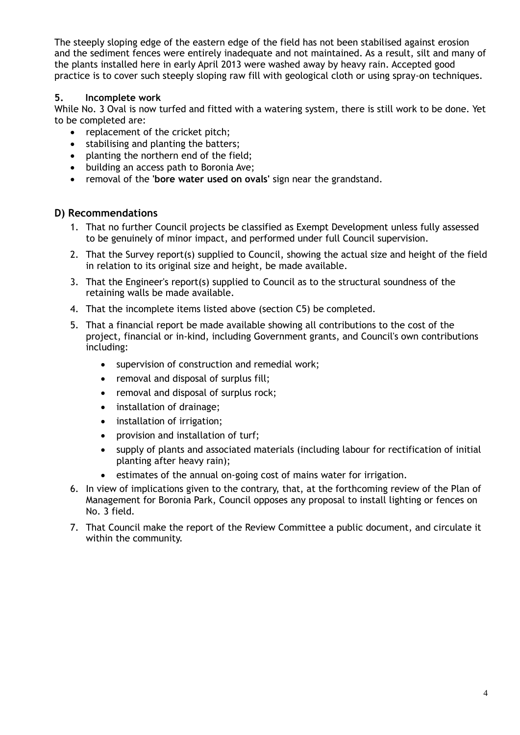The steeply sloping edge of the eastern edge of the field has not been stabilised against erosion and the sediment fences were entirely inadequate and not maintained. As a result, silt and many of the plants installed here in early April 2013 were washed away by heavy rain. Accepted good practice is to cover such steeply sloping raw fill with geological cloth or using spray-on techniques.

### **5. Incomplete work**

While No. 3 Oval is now turfed and fitted with a watering system, there is still work to be done. Yet to be completed are:

- replacement of the cricket pitch;
- stabilising and planting the batters;
- planting the northern end of the field;
- building an access path to Boronia Ave;
- removal of the **'bore water used on ovals'** sign near the grandstand.

### **D) Recommendations**

- 1. That no further Council projects be classified as Exempt Development unless fully assessed to be genuinely of minor impact, and performed under full Council supervision.
- 2. That the Survey report(s) supplied to Council, showing the actual size and height of the field in relation to its original size and height, be made available.
- 3. That the Engineer's report(s) supplied to Council as to the structural soundness of the retaining walls be made available.
- 4. That the incomplete items listed above (section C5) be completed.
- 5. That a financial report be made available showing all contributions to the cost of the project, financial or in-kind, including Government grants, and Council's own contributions including:
	- supervision of construction and remedial work;
	- removal and disposal of surplus fill;
	- removal and disposal of surplus rock;
	- installation of drainage;
	- installation of irrigation;
	- provision and installation of turf;
	- supply of plants and associated materials (including labour for rectification of initial planting after heavy rain);
	- estimates of the annual on-going cost of mains water for irrigation.
- 6. In view of implications given to the contrary, that, at the forthcoming review of the Plan of Management for Boronia Park, Council opposes any proposal to install lighting or fences on No. 3 field.
- 7. That Council make the report of the Review Committee a public document, and circulate it within the community.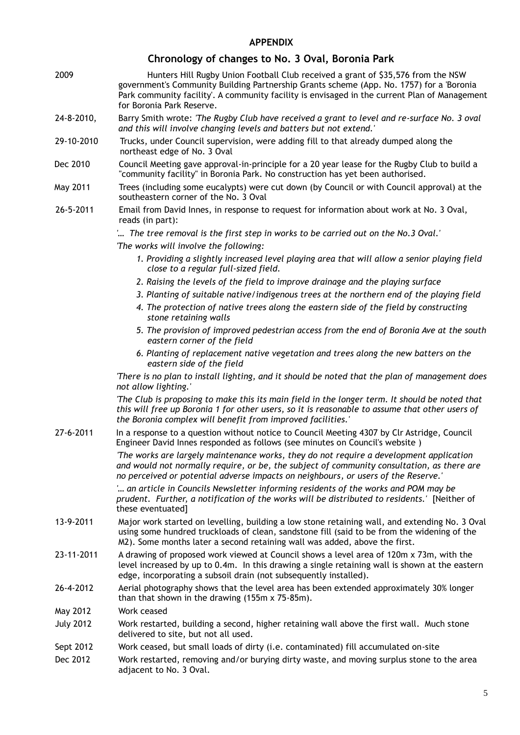### **APPENDIX**

# **Chronology of changes to No. 3 Oval, Boronia Park**

| 2009             | Hunters Hill Rugby Union Football Club received a grant of \$35,576 from the NSW<br>government's Community Building Partnership Grants scheme (App. No. 1757) for a 'Boronia<br>Park community facility'. A community facility is envisaged in the current Plan of Management<br>for Boronia Park Reserve. |
|------------------|------------------------------------------------------------------------------------------------------------------------------------------------------------------------------------------------------------------------------------------------------------------------------------------------------------|
| 24-8-2010,       | Barry Smith wrote: 'The Rugby Club have received a grant to level and re-surface No. 3 oval<br>and this will involve changing levels and batters but not extend.'                                                                                                                                          |
| 29-10-2010       | Trucks, under Council supervision, were adding fill to that already dumped along the<br>northeast edge of No. 3 Oval                                                                                                                                                                                       |
| Dec 2010         | Council Meeting gave approval-in-principle for a 20 year lease for the Rugby Club to build a<br>"community facility" in Boronia Park. No construction has yet been authorised.                                                                                                                             |
| May 2011         | Trees (including some eucalypts) were cut down (by Council or with Council approval) at the<br>southeastern corner of the No. 3 Oval                                                                                                                                                                       |
| 26-5-2011        | Email from David Innes, in response to request for information about work at No. 3 Oval,<br>reads (in part):                                                                                                                                                                                               |
|                  | ' The tree removal is the first step in works to be carried out on the No.3 Oval.'                                                                                                                                                                                                                         |
|                  | 'The works will involve the following:                                                                                                                                                                                                                                                                     |
|                  | 1. Providing a slightly increased level playing area that will allow a senior playing field<br>close to a regular full-sized field.                                                                                                                                                                        |
|                  | 2. Raising the levels of the field to improve drainage and the playing surface                                                                                                                                                                                                                             |
|                  | 3. Planting of suitable native/indigenous trees at the northern end of the playing field                                                                                                                                                                                                                   |
|                  | 4. The protection of native trees along the eastern side of the field by constructing<br>stone retaining walls                                                                                                                                                                                             |
|                  | 5. The provision of improved pedestrian access from the end of Boronia Ave at the south<br>eastern corner of the field                                                                                                                                                                                     |
|                  | 6. Planting of replacement native vegetation and trees along the new batters on the<br>eastern side of the field                                                                                                                                                                                           |
|                  | There is no plan to install lighting, and it should be noted that the plan of management does<br>not allow lighting.'                                                                                                                                                                                      |
|                  | The Club is proposing to make this its main field in the longer term. It should be noted that<br>this will free up Boronia 1 for other users, so it is reasonable to assume that other users of<br>the Boronia complex will benefit from improved facilities.'                                             |
| 27-6-2011        | In a response to a question without notice to Council Meeting 4307 by Clr Astridge, Council<br>Engineer David Innes responded as follows (see minutes on Council's website)                                                                                                                                |
|                  | The works are largely maintenance works, they do not require a development application<br>and would not normally require, or be, the subject of community consultation, as there are<br>no perceived or potential adverse impacts on neighbours, or users of the Reserve.'                                 |
|                  | ' an article in Councils Newsletter informing residents of the works and POM may be<br>prudent. Further, a notification of the works will be distributed to residents.' [Neither of<br>these eventuated]                                                                                                   |
| 13-9-2011        | Major work started on levelling, building a low stone retaining wall, and extending No. 3 Oval<br>using some hundred truckloads of clean, sandstone fill (said to be from the widening of the<br>M2). Some months later a second retaining wall was added, above the first.                                |
| 23-11-2011       | A drawing of proposed work viewed at Council shows a level area of 120m x 73m, with the<br>level increased by up to 0.4m. In this drawing a single retaining wall is shown at the eastern<br>edge, incorporating a subsoil drain (not subsequently installed).                                             |
| 26-4-2012        | Aerial photography shows that the level area has been extended approximately 30% longer<br>than that shown in the drawing (155m x 75-85m).                                                                                                                                                                 |
| May 2012         | Work ceased                                                                                                                                                                                                                                                                                                |
| <b>July 2012</b> | Work restarted, building a second, higher retaining wall above the first wall. Much stone<br>delivered to site, but not all used.                                                                                                                                                                          |
| Sept 2012        | Work ceased, but small loads of dirty (i.e. contaminated) fill accumulated on-site                                                                                                                                                                                                                         |
|                  |                                                                                                                                                                                                                                                                                                            |

Dec 2012 Work restarted, removing and/or burying dirty waste, and moving surplus stone to the area adjacent to No. 3 Oval.